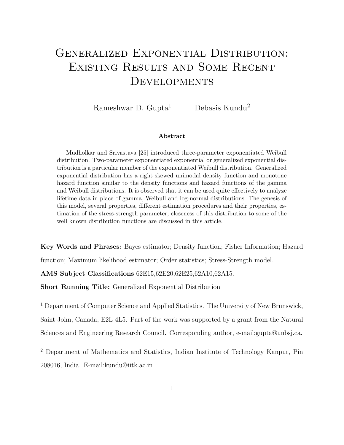# Generalized Exponential Distribution: Existing Results and Some Recent DEVELOPMENTS

Rameshwar D. Gupta<sup>1</sup> Debasis Kundu<sup>2</sup>

#### Abstract

Mudholkar and Srivastava [25] introduced three-parameter exponentiated Weibull distribution. Two-parameter exponentiated exponential or generalized exponential distribution is a particular member of the exponentiated Weibull distribution. Generalized exponential distribution has a right skewed unimodal density function and monotone hazard function similar to the density functions and hazard functions of the gamma and Weibull distributions. It is observed that it can be used quite effectively to analyze lifetime data in place of gamma, Weibull and log-normal distributions. The genesis of this model, several properties, different estimation procedures and their properties, estimation of the stress-strength parameter, closeness of this distribution to some of the well known distribution functions are discussed in this article.

Key Words and Phrases: Bayes estimator; Density function; Fisher Information; Hazard

function; Maximum likelihood estimator; Order statistics; Stress-Strength model.

AMS Subject Classifications 62E15,62E20,62E25,62A10,62A15.

Short Running Title: Generalized Exponential Distribution

<sup>1</sup> Department of Computer Science and Applied Statistics. The University of New Brunswick, Saint John, Canada, E2L 4L5. Part of the work was supported by a grant from the Natural Sciences and Engineering Research Council. Corresponding author, e-mail:gupta@unbsj.ca.

<sup>2</sup> Department of Mathematics and Statistics, Indian Institute of Technology Kanpur, Pin 208016, India. E-mail:kundu@iitk.ac.in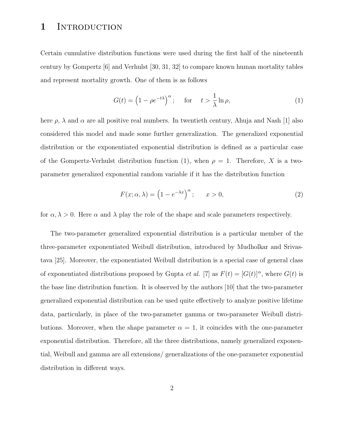## 1 INTRODUCTION

Certain cumulative distribution functions were used during the first half of the nineteenth century by Gompertz [6] and Verhulst [30, 31, 32] to compare known human mortality tables and represent mortality growth. One of them is as follows

$$
G(t) = \left(1 - \rho e^{-t\lambda}\right)^{\alpha}; \quad \text{for} \quad t > \frac{1}{\lambda} \ln \rho,
$$
 (1)

here  $\rho$ ,  $\lambda$  and  $\alpha$  are all positive real numbers. In twentieth century, Ahuja and Nash [1] also considered this model and made some further generalization. The generalized exponential distribution or the exponentiated exponential distribution is defined as a particular case of the Gompertz-Verhulst distribution function (1), when  $\rho = 1$ . Therefore, X is a twoparameter generalized exponential random variable if it has the distribution function

$$
F(x; \alpha, \lambda) = \left(1 - e^{-\lambda x}\right)^{\alpha}; \qquad x > 0,
$$
\n<sup>(2)</sup>

for  $\alpha, \lambda > 0$ . Here  $\alpha$  and  $\lambda$  play the role of the shape and scale parameters respectively.

The two-parameter generalized exponential distribution is a particular member of the three-parameter exponentiated Weibull distribution, introduced by Mudholkar and Srivastava [25]. Moreover, the exponentiated Weibull distribution is a special case of general class of exponentiated distributions proposed by Gupta *et al.* [7] as  $F(t) = [G(t)]^{\alpha}$ , where  $G(t)$  is the base line distribution function. It is observed by the authors [10] that the two-parameter generalized exponential distribution can be used quite effectively to analyze positive lifetime data, particularly, in place of the two-parameter gamma or two-parameter Weibull distributions. Moreover, when the shape parameter  $\alpha = 1$ , it coincides with the one-parameter exponential distribution. Therefore, all the three distributions, namely generalized exponential, Weibull and gamma are all extensions/ generalizations of the one-parameter exponential distribution in different ways.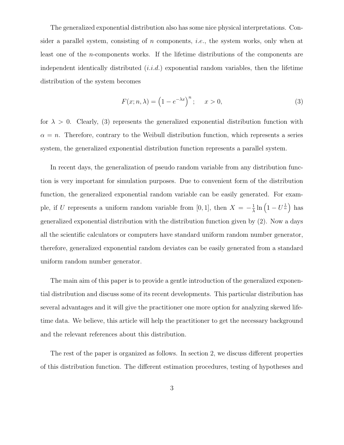The generalized exponential distribution also has some nice physical interpretations. Consider a parallel system, consisting of n components, *i.e.*, the system works, only when at least one of the n-components works. If the lifetime distributions of the components are independent identically distributed  $(i.i.d.)$  exponential random variables, then the lifetime distribution of the system becomes

$$
F(x; n, \lambda) = \left(1 - e^{-\lambda x}\right)^n; \quad x > 0,
$$
\n(3)

for  $\lambda > 0$ . Clearly, (3) represents the generalized exponential distribution function with  $\alpha = n$ . Therefore, contrary to the Weibull distribution function, which represents a series system, the generalized exponential distribution function represents a parallel system.

In recent days, the generalization of pseudo random variable from any distribution function is very important for simulation purposes. Due to convenient form of the distribution function, the generalized exponential random variable can be easily generated. For example, if U represents a uniform random variable from [0, 1], then  $X = -\frac{1}{\lambda}$  $\frac{1}{\lambda} \ln \left( 1 - U^{\frac{1}{\alpha}} \right)$  has generalized exponential distribution with the distribution function given by (2). Now a days all the scientific calculators or computers have standard uniform random number generator, therefore, generalized exponential random deviates can be easily generated from a standard uniform random number generator.

The main aim of this paper is to provide a gentle introduction of the generalized exponential distribution and discuss some of its recent developments. This particular distribution has several advantages and it will give the practitioner one more option for analyzing skewed lifetime data. We believe, this article will help the practitioner to get the necessary background and the relevant references about this distribution.

The rest of the paper is organized as follows. In section 2, we discuss different properties of this distribution function. The different estimation procedures, testing of hypotheses and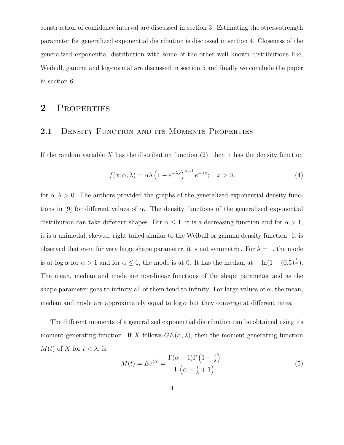construction of confidence interval are discussed in section 3. Estimating the stress-strength parameter for generalized exponential distribution is discussed in section 4. Closeness of the generalized exponential distribution with some of the other well known distributions like, Weibull, gamma and log-normal are discussed in section 5 and finally we conclude the paper in section 6.

## 2 PROPERTIES

#### 2.1 DENSITY FUNCTION AND ITS MOMENTS PROPERTIES

If the random variable X has the distribution function  $(2)$ , then it has the density function

$$
f(x; \alpha, \lambda) = \alpha \lambda \left( 1 - e^{-\lambda x} \right)^{\alpha - 1} e^{-\lambda x}; \quad x > 0,
$$
\n<sup>(4)</sup>

for  $\alpha, \lambda > 0$ . The authors provided the graphs of the generalized exponential density functions in [9] for different values of  $\alpha$ . The density functions of the generalized exponential distribution can take different shapes. For  $\alpha \leq 1$ , it is a decreasing function and for  $\alpha > 1$ , it is a unimodal, skewed, right tailed similar to the Weibull or gamma density function. It is observed that even for very large shape parameter, it is not symmetric. For  $\lambda = 1$ , the mode is at log  $\alpha$  for  $\alpha > 1$  and for  $\alpha \leq 1$ , the mode is at 0. It has the median at  $-\ln(1-(0.5)^{\frac{1}{\alpha}})$ . The mean, median and mode are non-linear functions of the shape parameter and as the shape parameter goes to infinity all of them tend to infinity. For large values of  $\alpha$ , the mean, median and mode are approximately equal to  $\log \alpha$  but they converge at different rates.

The different moments of a generalized exponential distribution can be obtained using its moment generating function. If X follows  $GE(\alpha, \lambda)$ , then the moment generating function  $M(t)$  of X for  $t < \lambda$ , is

$$
M(t) = E e^{tX} = \frac{\Gamma(\alpha + 1)\Gamma\left(1 - \frac{t}{\lambda}\right)}{\Gamma\left(\alpha - \frac{t}{\lambda} + 1\right)}.
$$
\n<sup>(5)</sup>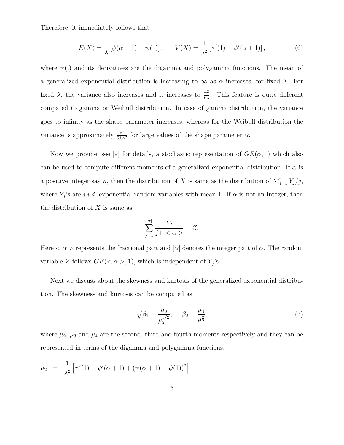Therefore, it immediately follows that

$$
E(X) = \frac{1}{\lambda} \left[ \psi(\alpha + 1) - \psi(1) \right], \qquad V(X) = \frac{1}{\lambda^2} \left[ \psi'(1) - \psi'(\alpha + 1) \right], \tag{6}
$$

where  $\psi(.)$  and its derivatives are the digamma and polygamma functions. The mean of a generalized exponential distribution is increasing to  $\infty$  as  $\alpha$  increases, for fixed  $\lambda$ . For fixed  $\lambda$ , the variance also increases and it increases to  $\frac{\pi^2}{6\lambda}$  $\frac{\pi^2}{6\lambda}$ . This feature is quite different compared to gamma or Weibull distribution. In case of gamma distribution, the variance goes to infinity as the shape parameter increases, whereas for the Weibull distribution the variance is approximately  $\frac{\pi^2}{6\lambda}$  $\frac{\pi^2}{6\lambda\alpha^2}$  for large values of the shape parameter  $\alpha$ .

Now we provide, see [9] for details, a stochastic representation of  $GE(\alpha, 1)$  which also can be used to compute different moments of a generalized exponential distribution. If  $\alpha$  is a positive integer say n, then the distribution of X is same as the distribution of  $\sum_{j=1}^{n} Y_j/j$ , where  $Y_j$ 's are *i.i.d.* exponential random variables with mean 1. If  $\alpha$  is not an integer, then the distribution of  $X$  is same as

$$
\sum_{j=1}^{\lbrack \alpha \rbrack} \frac{Y_j}{j+<\alpha>}+Z.
$$

Here  $\langle \alpha \rangle$  represents the fractional part and  $[\alpha]$  denotes the integer part of  $\alpha$ . The random variable Z follows  $GE(<\alpha>,1)$ , which is independent of  $Y_j$ 's.

Next we discuss about the skewness and kurtosis of the generalized exponential distribution. The skewness and kurtosis can be computed as

$$
\sqrt{\beta_1} = \frac{\mu_3}{\mu_2^{3/2}}, \quad \beta_2 = \frac{\mu_4}{\mu_2^2}, \tag{7}
$$

where  $\mu_2$ ,  $\mu_3$  and  $\mu_4$  are the second, third and fourth moments respectively and they can be represented in terms of the digamma and polygamma functions.

$$
\mu_2 = \frac{1}{\lambda^2} \left[ \psi'(1) - \psi'(\alpha + 1) + (\psi(\alpha + 1) - \psi(1))^2 \right]
$$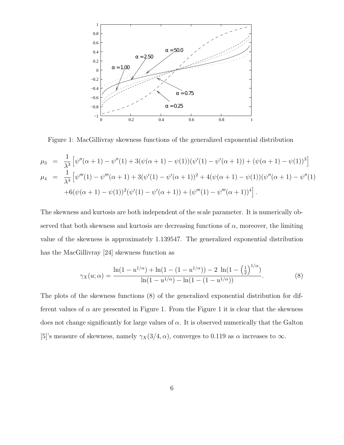

Figure 1: MacGillivray skewness functions of the generalized exponential distribution

$$
\mu_3 = \frac{1}{\lambda^3} \left[ \psi''(\alpha+1) - \psi''(1) + 3(\psi(\alpha+1) - \psi(1))(\psi'(1) - \psi'(\alpha+1)) + (\psi(\alpha+1) - \psi(1))^3 \right]
$$
  
\n
$$
\mu_4 = \frac{1}{\lambda^4} \left[ \psi'''(1) - \psi'''(\alpha+1) + 3(\psi'(1) - \psi'(\alpha+1))^2 + 4(\psi(\alpha+1) - \psi(1))(\psi''(\alpha+1) - \psi''(1) + 6(\psi(\alpha+1) - \psi(1))^2(\psi'(1) - \psi'(\alpha+1)) + (\psi'''(1) - \psi'''(\alpha+1))^4 \right].
$$

The skewness and kurtosis are both independent of the scale parameter. It is numerically observed that both skewness and kurtosis are decreasing functions of  $\alpha$ , moreover, the limiting value of the skewness is approximately 1.139547. The generalized exponential distribution has the MacGillivray [24] skewness function as

$$
\gamma_X(u;\alpha) = \frac{\ln(1 - u^{1/\alpha}) + \ln(1 - (1 - u^{1/\alpha})) - 2 \ln(1 - \left(\frac{1}{2}\right)^{1/\alpha})}{\ln(1 - u^{1/\alpha}) - \ln(1 - (1 - u^{1/\alpha}))}.
$$
(8)

The plots of the skewness functions (8) of the generalized exponential distribution for different values of  $\alpha$  are presented in Figure 1. From the Figure 1 it is clear that the skewness does not change significantly for large values of  $\alpha$ . It is observed numerically that the Galton [5]'s measure of skewness, namely  $\gamma_X(3/4, \alpha)$ , converges to 0.119 as  $\alpha$  increases to  $\infty$ .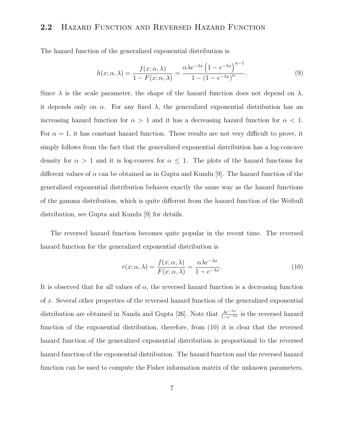### 2.2 Hazard Function and Reversed Hazard Function

The hazard function of the generalized exponential distribution is

$$
h(x; \alpha, \lambda) = \frac{f(x; \alpha, \lambda)}{1 - F(x; \alpha, \lambda)} = \frac{\alpha \lambda e^{-\lambda x} \left(1 - e^{-\lambda x}\right)^{\alpha - 1}}{1 - (1 - e^{-\lambda x})^{\alpha}}.
$$
\n(9)

Since  $\lambda$  is the scale parameter, the shape of the hazard function does not depend on  $\lambda$ , it depends only on  $\alpha$ . For any fixed  $\lambda$ , the generalized exponential distribution has an increasing hazard function for  $\alpha > 1$  and it has a decreasing hazard function for  $\alpha < 1$ . For  $\alpha = 1$ , it has constant hazard function. These results are not very difficult to prove, it simply follows from the fact that the generalized exponential distribution has a log-concave density for  $\alpha > 1$  and it is log-convex for  $\alpha \leq 1$ . The plots of the hazard functions for different values of  $\alpha$  can be obtained as in Gupta and Kundu [9]. The hazard function of the generalized exponential distribution behaves exactly the same way as the hazard functions of the gamma distribution, which is quite different from the hazard function of the Weibull distribution, see Gupta and Kundu [9] for details.

The reversed hazard function becomes quite popular in the recent time. The reversed hazard function for the generalized exponential distribution is

$$
r(x; \alpha, \lambda) = \frac{f(x; \alpha, \lambda)}{F(x; \alpha, \lambda)} = \frac{\alpha \lambda e^{-\lambda x}}{1 - e^{-\lambda x}}.
$$
\n(10)

It is observed that for all values of  $\alpha$ , the reversed hazard function is a decreasing function of x. Several other properties of the reversed hazard function of the generalized exponential distribution are obtained in Nanda and Gupta [26]. Note that  $\frac{\lambda e^{-\lambda x}}{1-e^{-\lambda x}}$  is the reversed hazard function of the exponential distribution, therefore, from (10) it is clear that the reversed hazard function of the generalized exponential distribution is proportional to the reversed hazard function of the exponential distribution. The hazard function and the reversed hazard function can be used to compute the Fisher information matrix of the unknown parameters,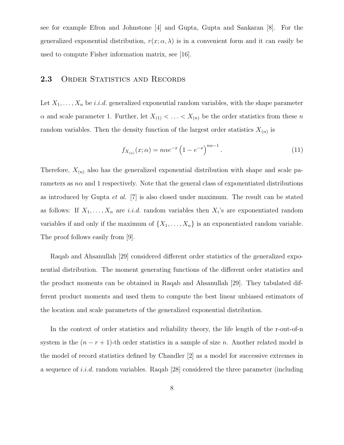see for example Efron and Johnstone [4] and Gupta, Gupta and Sankaran [8]. For the generalized exponential distribution,  $r(x; \alpha, \lambda)$  is in a convenient form and it can easily be used to compute Fisher information matrix, see [16].

### 2.3 ORDER STATISTICS AND RECORDS

Let  $X_1, \ldots, X_n$  be *i.i.d.* generalized exponential random variables, with the shape parameter  $\alpha$  and scale parameter 1. Further, let  $X_{(1)} < \ldots < X_{(n)}$  be the order statistics from these n random variables. Then the density function of the largest order statistics  $X_{(n)}$  is

$$
f_{X_{(n)}}(x;\alpha) = n\alpha e^{-x} \left(1 - e^{-x}\right)^{n\alpha - 1}.
$$
 (11)

Therefore,  $X_{(n)}$  also has the generalized exponential distribution with shape and scale parameters as  $n\alpha$  and 1 respectively. Note that the general class of exponentiated distributions as introduced by Gupta et al. [7] is also closed under maximum. The result can be stated as follows: If  $X_1, \ldots, X_n$  are *i.i.d.* random variables then  $X_i$ 's are exponentiated random variables if and only if the maximum of  $\{X_1, \ldots, X_n\}$  is an exponentiated random variable. The proof follows easily from [9].

Raqab and Ahsanullah [29] considered different order statistics of the generalized exponential distribution. The moment generating functions of the different order statistics and the product moments can be obtained in Raqab and Ahsanullah [29]. They tabulated different product moments and used them to compute the best linear unbiased estimators of the location and scale parameters of the generalized exponential distribution.

In the context of order statistics and reliability theory, the life length of the r-out-of-n system is the  $(n - r + 1)$ -th order statistics in a sample of size *n*. Another related model is the model of record statistics defined by Chandler [2] as a model for successive extremes in a sequence of *i.i.d.* random variables. Raqab [28] considered the three parameter (including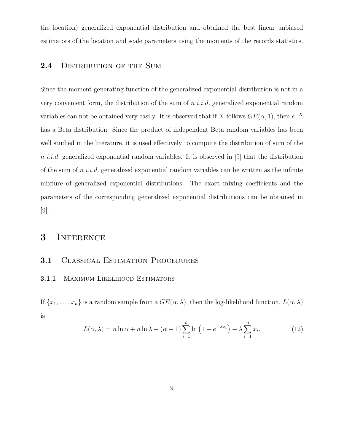the location) generalized exponential distribution and obtained the best linear unbiased estimators of the location and scale parameters using the moments of the records statistics.

### 2.4 DISTRIBUTION OF THE SUM

Since the moment generating function of the generalized exponential distribution is not in a very convenient form, the distribution of the sum of  $n$  *i.i.d.* generalized exponential random variables can not be obtained very easily. It is observed that if X follows  $GE(\alpha, 1)$ , then  $e^{-X}$ has a Beta distribution. Since the product of independent Beta random variables has been well studied in the literature, it is used effectively to compute the distribution of sum of the n *i.i.d.* generalized exponential random variables. It is observed in [9] that the distribution of the sum of n i.i.d. generalized exponential random variables can be written as the infinite mixture of generalized exponential distributions. The exact mixing coefficients and the parameters of the corresponding generalized exponential distributions can be obtained in [9].

### 3 Inference

### 3.1 CLASSICAL ESTIMATION PROCEDURES

#### 3.1.1 MAXIMUM LIKELIHOOD ESTIMATORS

If  $\{x_1, \ldots, x_n\}$  is a random sample from a  $GE(\alpha, \lambda)$ , then the log-likelihood function,  $L(\alpha, \lambda)$ is

$$
L(\alpha, \lambda) = n \ln \alpha + n \ln \lambda + (\alpha - 1) \sum_{i=1}^{n} \ln \left( 1 - e^{-\lambda x_i} \right) - \lambda \sum_{i=1}^{n} x_i.
$$
 (12)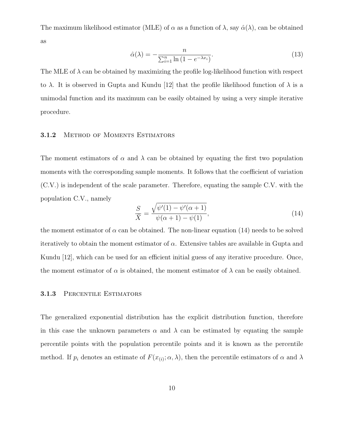The maximum likelihood estimator (MLE) of  $\alpha$  as a function of  $\lambda$ , say  $\hat{\alpha}(\lambda)$ , can be obtained as

$$
\hat{\alpha}(\lambda) = -\frac{n}{\sum_{i=1}^{n} \ln\left(1 - e^{-\lambda x_i}\right)}.\tag{13}
$$

The MLE of  $\lambda$  can be obtained by maximizing the profile log-likelihood function with respect to  $\lambda$ . It is observed in Gupta and Kundu [12] that the profile likelihood function of  $\lambda$  is a unimodal function and its maximum can be easily obtained by using a very simple iterative procedure.

#### 3.1.2 METHOD OF MOMENTS ESTIMATORS

The moment estimators of  $\alpha$  and  $\lambda$  can be obtained by equating the first two population moments with the corresponding sample moments. It follows that the coefficient of variation (C.V.) is independent of the scale parameter. Therefore, equating the sample C.V. with the population C.V., namely

$$
\frac{S}{\bar{X}} = \frac{\sqrt{\psi'(1) - \psi'(\alpha + 1)}}{\psi(\alpha + 1) - \psi(1)},
$$
\n(14)

the moment estimator of  $\alpha$  can be obtained. The non-linear equation (14) needs to be solved iteratively to obtain the moment estimator of  $\alpha$ . Extensive tables are available in Gupta and Kundu [12], which can be used for an efficient initial guess of any iterative procedure. Once, the moment estimator of  $\alpha$  is obtained, the moment estimator of  $\lambda$  can be easily obtained.

#### 3.1.3 PERCENTILE ESTIMATORS

The generalized exponential distribution has the explicit distribution function, therefore in this case the unknown parameters  $\alpha$  and  $\lambda$  can be estimated by equating the sample percentile points with the population percentile points and it is known as the percentile method. If  $p_i$  denotes an estimate of  $F(x_{(i)}; \alpha, \lambda)$ , then the percentile estimators of  $\alpha$  and  $\lambda$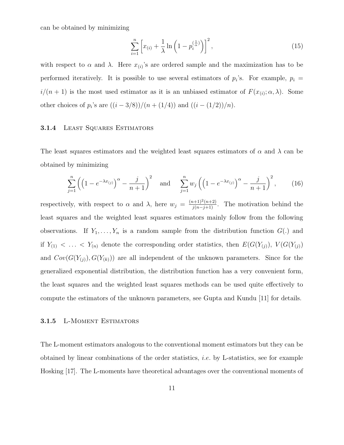can be obtained by minimizing

$$
\sum_{i=1}^{n} \left[ x_{(i)} + \frac{1}{\lambda} \ln \left( 1 - p_i^{(\frac{1}{\alpha})} \right) \right]^2, \tag{15}
$$

with respect to  $\alpha$  and  $\lambda$ . Here  $x_{(i)}$ 's are ordered sample and the maximization has to be performed iteratively. It is possible to use several estimators of  $p_i$ 's. For example,  $p_i =$  $i/(n+1)$  is the most used estimator as it is an unbiased estimator of  $F(x_{(i)}; \alpha, \lambda)$ . Some other choices of  $p_i$ 's are  $((i - 3/8))/(n + (1/4))$  and  $((i - (1/2))/n)$ .

#### 3.1.4 Least Squares Estimators

The least squares estimators and the weighted least squares estimators of  $\alpha$  and  $\lambda$  can be obtained by minimizing

$$
\sum_{j=1}^{n} \left( \left( 1 - e^{-\lambda x_{(j)}} \right)^{\alpha} - \frac{j}{n+1} \right)^2 \quad \text{and} \quad \sum_{j=1}^{n} w_j \left( \left( 1 - e^{-\lambda x_{(j)}} \right)^{\alpha} - \frac{j}{n+1} \right)^2, \tag{16}
$$

respectively, with respect to  $\alpha$  and  $\lambda$ , here  $w_j = \frac{(n+1)^2(n+2)}{j(n-j+1)}$ . The motivation behind the least squares and the weighted least squares estimators mainly follow from the following observations. If  $Y_1, \ldots, Y_n$  is a random sample from the distribution function  $G(.)$  and if  $Y_{(1)} < \ldots < Y_{(n)}$  denote the corresponding order statistics, then  $E(G(Y_{(j)}), V(G(Y_{(j)})))$ and  $Cov(G(Y_{(j)}), G(Y_{(k)}))$  are all independent of the unknown parameters. Since for the generalized exponential distribution, the distribution function has a very convenient form, the least squares and the weighted least squares methods can be used quite effectively to compute the estimators of the unknown parameters, see Gupta and Kundu [11] for details.

#### 3.1.5 L-Moment Estimators

The L-moment estimators analogous to the conventional moment estimators but they can be obtained by linear combinations of the order statistics, i.e. by L-statistics, see for example Hosking [17]. The L-moments have theoretical advantages over the conventional moments of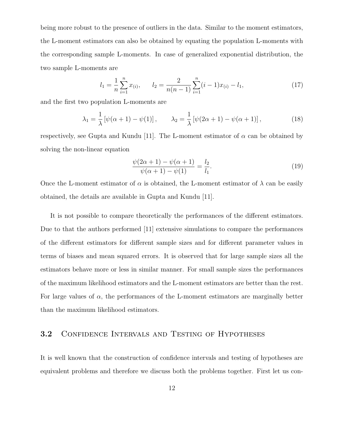being more robust to the presence of outliers in the data. Similar to the moment estimators, the L-moment estimators can also be obtained by equating the population L-moments with the corresponding sample L-moments. In case of generalized exponential distribution, the two sample L-moments are

$$
l_1 = \frac{1}{n} \sum_{i=1}^{n} x_{(i)}, \qquad l_2 = \frac{2}{n(n-1)} \sum_{i=1}^{n} (i-1)x_{(i)} - l_1,
$$
\n(17)

and the first two population L-moments are

$$
\lambda_1 = \frac{1}{\lambda} \left[ \psi(\alpha + 1) - \psi(1) \right], \qquad \lambda_2 = \frac{1}{\lambda} \left[ \psi(2\alpha + 1) - \psi(\alpha + 1) \right], \tag{18}
$$

respectively, see Gupta and Kundu [11]. The L-moment estimator of  $\alpha$  can be obtained by solving the non-linear equation

$$
\frac{\psi(2\alpha+1) - \psi(\alpha+1)}{\psi(\alpha+1) - \psi(1)} = \frac{l_2}{l_1}.
$$
\n(19)

Once the L-moment estimator of  $\alpha$  is obtained, the L-moment estimator of  $\lambda$  can be easily obtained, the details are available in Gupta and Kundu [11].

It is not possible to compare theoretically the performances of the different estimators. Due to that the authors performed [11] extensive simulations to compare the performances of the different estimators for different sample sizes and for different parameter values in terms of biases and mean squared errors. It is observed that for large sample sizes all the estimators behave more or less in similar manner. For small sample sizes the performances of the maximum likelihood estimators and the L-moment estimators are better than the rest. For large values of  $\alpha$ , the performances of the L-moment estimators are marginally better than the maximum likelihood estimators.

#### 3.2 CONFIDENCE INTERVALS AND TESTING OF HYPOTHESES

It is well known that the construction of confidence intervals and testing of hypotheses are equivalent problems and therefore we discuss both the problems together. First let us con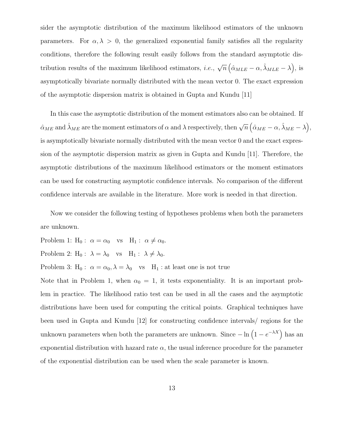sider the asymptotic distribution of the maximum likelihood estimators of the unknown parameters. For  $\alpha, \lambda > 0$ , the generalized exponential family satisfies all the regularity conditions, therefore the following result easily follows from the standard asymptotic distribution results of the maximum likelihood estimators, *i.e.*,  $\sqrt{n} (\hat{\alpha}_{MLE} - \alpha, \hat{\lambda}_{MLE} - \lambda)$ , is asymptotically bivariate normally distributed with the mean vector 0. The exact expression of the asymptotic dispersion matrix is obtained in Gupta and Kundu [11]

In this case the asymptotic distribution of the moment estimators also can be obtained. If  $\hat{\alpha}_{ME}$  and  $\hat{\lambda}_{ME}$  are the moment estimators of  $\alpha$  and  $\lambda$  respectively, then  $\sqrt{n} (\hat{\alpha}_{ME} - \alpha, \hat{\lambda}_{ME} - \lambda),$ is asymptotically bivariate normally distributed with the mean vector 0 and the exact expression of the asymptotic dispersion matrix as given in Gupta and Kundu [11]. Therefore, the asymptotic distributions of the maximum likelihood estimators or the moment estimators can be used for constructing asymptotic confidence intervals. No comparison of the different confidence intervals are available in the literature. More work is needed in that direction.

Now we consider the following testing of hypotheses problems when both the parameters are unknown.

Problem 1:  $H_0: \alpha = \alpha_0$  vs  $H_1: \alpha \neq \alpha_0$ . Problem 2:  $H_0$ :  $\lambda = \lambda_0$  vs  $H_1$ :  $\lambda \neq \lambda_0$ . Problem 3:  $H_0: \ \alpha = \alpha_0, \lambda = \lambda_0$  vs  $H_1:$  at least one is not true

Note that in Problem 1, when  $\alpha_0 = 1$ , it tests exponentiality. It is an important problem in practice. The likelihood ratio test can be used in all the cases and the asymptotic distributions have been used for computing the critical points. Graphical techniques have been used in Gupta and Kundu [12] for constructing confidence intervals/ regions for the unknown parameters when both the parameters are unknown. Since  $-\ln\left(1 - e^{-\lambda X}\right)$  has an exponential distribution with hazard rate  $\alpha$ , the usual inference procedure for the parameter of the exponential distribution can be used when the scale parameter is known.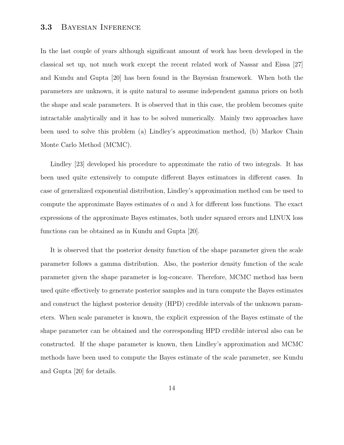#### 3.3 Bayesian Inference

In the last couple of years although significant amount of work has been developed in the classical set up, not much work except the recent related work of Nassar and Eissa [27] and Kundu and Gupta [20] has been found in the Bayesian framework. When both the parameters are unknown, it is quite natural to assume independent gamma priors on both the shape and scale parameters. It is observed that in this case, the problem becomes quite intractable analytically and it has to be solved numerically. Mainly two approaches have been used to solve this problem (a) Lindley's approximation method, (b) Markov Chain Monte Carlo Method (MCMC).

Lindley [23] developed his procedure to approximate the ratio of two integrals. It has been used quite extensively to compute different Bayes estimators in different cases. In case of generalized exponential distribution, Lindley's approximation method can be used to compute the approximate Bayes estimates of  $\alpha$  and  $\lambda$  for different loss functions. The exact expressions of the approximate Bayes estimates, both under squared errors and LINUX loss functions can be obtained as in Kundu and Gupta [20].

It is observed that the posterior density function of the shape parameter given the scale parameter follows a gamma distribution. Also, the posterior density function of the scale parameter given the shape parameter is log-concave. Therefore, MCMC method has been used quite effectively to generate posterior samples and in turn compute the Bayes estimates and construct the highest posterior density (HPD) credible intervals of the unknown parameters. When scale parameter is known, the explicit expression of the Bayes estimate of the shape parameter can be obtained and the corresponding HPD credible interval also can be constructed. If the shape parameter is known, then Lindley's approximation and MCMC methods have been used to compute the Bayes estimate of the scale parameter, see Kundu and Gupta [20] for details.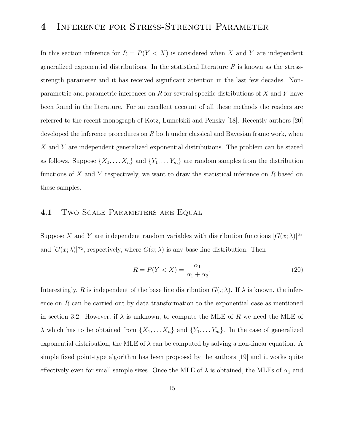## 4 Inference for Stress-Strength Parameter

In this section inference for  $R = P(Y < X)$  is considered when X and Y are independent generalized exponential distributions. In the statistical literature  $R$  is known as the stressstrength parameter and it has received significant attention in the last few decades. Nonparametric and parametric inferences on  $R$  for several specific distributions of  $X$  and  $Y$  have been found in the literature. For an excellent account of all these methods the readers are referred to the recent monograph of Kotz, Lumelskii and Pensky [18]. Recently authors [20] developed the inference procedures on  $R$  both under classical and Bayesian frame work, when X and Y are independent generalized exponential distributions. The problem can be stated as follows. Suppose  $\{X_1, \ldots X_n\}$  and  $\{Y_1, \ldots Y_m\}$  are random samples from the distribution functions of X and Y respectively, we want to draw the statistical inference on R based on these samples.

### 4.1 TWO SCALE PARAMETERS ARE EQUAL

Suppose X and Y are independent random variables with distribution functions  $[G(x; \lambda)]^{\alpha_1}$ and  $[G(x; \lambda)]^{\alpha_2}$ , respectively, where  $G(x; \lambda)$  is any base line distribution. Then

$$
R = P(Y < X) = \frac{\alpha_1}{\alpha_1 + \alpha_2}.\tag{20}
$$

Interestingly, R is independent of the base line distribution  $G(.; \lambda)$ . If  $\lambda$  is known, the inference on R can be carried out by data transformation to the exponential case as mentioned in section 3.2. However, if  $\lambda$  is unknown, to compute the MLE of R we need the MLE of  $\lambda$  which has to be obtained from  $\{X_1, \ldots X_n\}$  and  $\{Y_1, \ldots Y_m\}$ . In the case of generalized exponential distribution, the MLE of  $\lambda$  can be computed by solving a non-linear equation. A simple fixed point-type algorithm has been proposed by the authors [19] and it works quite effectively even for small sample sizes. Once the MLE of  $\lambda$  is obtained, the MLEs of  $\alpha_1$  and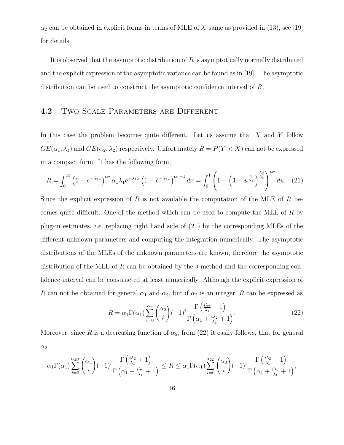$\alpha_2$  can be obtained in explicit forms in terms of MLE of  $\lambda$ , same as provided in (13), see [19] for details.

It is observed that the asymptotic distribution of  $R$  is asymptotically normally distributed and the explicit expression of the asymptotic variance can be found as in [19]. The asymptotic distribution can be used to construct the asymptotic confidence interval of R.

#### 4.2 TWO SCALE PARAMETERS ARE DIFFERENT

In this case the problem becomes quite different. Let us assume that  $X$  and  $Y$  follow  $GE(\alpha_1, \lambda_1)$  and  $GE(\alpha_2, \lambda_2)$  respectively. Unfortunately  $R = P(Y < X)$  can not be expressed in a compact form. It has the following form;

$$
R = \int_0^\infty \left(1 - e^{-\lambda_2 x}\right)^{\alpha_2} \alpha_1 \lambda_1 e^{-\lambda_1 x} \left(1 - e^{-\lambda_1 x}\right)^{\alpha_1 - 1} dx = \int_0^1 \left(1 - \left(1 - u^{\frac{1}{\alpha_1}}\right)^{\frac{\lambda_2}{\lambda_1}}\right)^{\alpha_2} du. \tag{21}
$$

Since the explicit expression of R is not available the computation of the MLE of R becomes quite difficult. One of the method which can be used to compute the MLE of R by plug-in estimates, *i.e.* replacing right hand side of  $(21)$  by the corresponding MLEs of the different unknown parameters and computing the integration numerically. The asymptotic distributions of the MLEs of the unknown parameters are known, therefore the asymptotic distribution of the MLE of R can be obtained by the  $\delta$ -method and the corresponding confidence interval can be constructed at least numerically. Although the explicit expression of R can not be obtained for general  $\alpha_1$  and  $\alpha_2$ , but if  $\alpha_2$  is an integer, R can be expressed as

$$
R = \alpha_1 \Gamma(\alpha_1) \sum_{i=0}^{\alpha_2} {\alpha_2 \choose i} (-1)^i \frac{\Gamma\left(\frac{i\lambda_2}{\lambda_1} + 1\right)}{\Gamma\left(\alpha_1 + \frac{i\lambda_2}{\lambda_1} + 1\right)}.
$$
 (22)

Moreover, since R is a decreasing function of  $\alpha_2$ , from (22) it easily follows, that for general  $\alpha_2$ 

$$
\alpha_1 \Gamma(\alpha_1) \sum_{i=0}^{\alpha_{2U}} {\alpha_2 \choose i} (-1)^i \frac{\Gamma\left(\frac{i\lambda_2}{\lambda_1} + 1\right)}{\Gamma\left(\alpha_1 + \frac{i\lambda_2}{\lambda_1} + 1\right)} \le R \le \alpha_1 \Gamma(\alpha_1) \sum_{i=0}^{\alpha_{2L}} {\alpha_2 \choose i} (-1)^i \frac{\Gamma\left(\frac{i\lambda_2}{\lambda_1} + 1\right)}{\Gamma\left(\alpha_1 + \frac{i\lambda_2}{\lambda_1} + 1\right)},
$$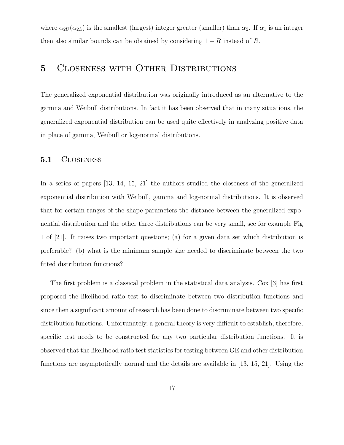where  $\alpha_{2U}(\alpha_{2L})$  is the smallest (largest) integer greater (smaller) than  $\alpha_2$ . If  $\alpha_1$  is an integer then also similar bounds can be obtained by considering  $1 - R$  instead of R.

## 5 Closeness with Other Distributions

The generalized exponential distribution was originally introduced as an alternative to the gamma and Weibull distributions. In fact it has been observed that in many situations, the generalized exponential distribution can be used quite effectively in analyzing positive data in place of gamma, Weibull or log-normal distributions.

#### 5.1 Closeness

In a series of papers [13, 14, 15, 21] the authors studied the closeness of the generalized exponential distribution with Weibull, gamma and log-normal distributions. It is observed that for certain ranges of the shape parameters the distance between the generalized exponential distribution and the other three distributions can be very small, see for example Fig 1 of [21]. It raises two important questions; (a) for a given data set which distribution is preferable? (b) what is the minimum sample size needed to discriminate between the two fitted distribution functions?

The first problem is a classical problem in the statistical data analysis. Cox [3] has first proposed the likelihood ratio test to discriminate between two distribution functions and since then a significant amount of research has been done to discriminate between two specific distribution functions. Unfortunately, a general theory is very difficult to establish, therefore, specific test needs to be constructed for any two particular distribution functions. It is observed that the likelihood ratio test statistics for testing between GE and other distribution functions are asymptotically normal and the details are available in [13, 15, 21]. Using the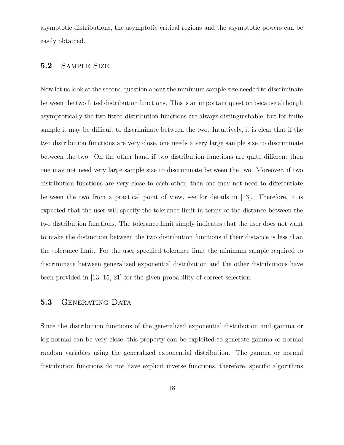asymptotic distributions, the asymptotic critical regions and the asymptotic powers can be easily obtained.

### 5.2 Sample Size

Now let us look at the second question about the minimum sample size needed to discriminate between the two fitted distribution functions. This is an important question because although asymptotically the two fitted distribution functions are always distinguishable, but for finite sample it may be difficult to discriminate between the two. Intuitively, it is clear that if the two distribution functions are very close, one needs a very large sample size to discriminate between the two. On the other hand if two distribution functions are quite different then one may not need very large sample size to discriminate between the two. Moreover, if two distribution functions are very close to each other, then one may not need to differentiate between the two from a practical point of view, see for details in [13]. Therefore, it is expected that the user will specify the tolerance limit in terms of the distance between the two distribution functions. The tolerance limit simply indicates that the user does not want to make the distinction between the two distribution functions if their distance is less than the tolerance limit. For the user specified tolerance limit the minimum sample required to discriminate between generalized exponential distribution and the other distributions have been provided in [13, 15, 21] for the given probability of correct selection.

### 5.3 GENERATING DATA

Since the distribution functions of the generalized exponential distribution and gamma or log-normal can be very close, this property can be exploited to generate gamma or normal random variables using the generalized exponential distribution. The gamma or normal distribution functions do not have explicit inverse functions, therefore, specific algorithms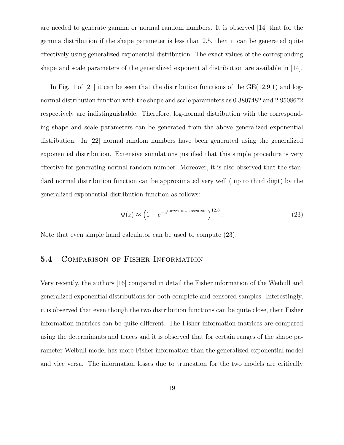are needed to generate gamma or normal random numbers. It is observed [14] that for the gamma distribution if the shape parameter is less than 2.5, then it can be generated quite effectively using generalized exponential distribution. The exact values of the corresponding shape and scale parameters of the generalized exponential distribution are available in [14].

In Fig. 1 of [21] it can be seen that the distribution functions of the  $GE(12.9,1)$  and lognormal distribution function with the shape and scale parameters as 0.3807482 and 2.9508672 respectively are indistinguishable. Therefore, log-normal distribution with the corresponding shape and scale parameters can be generated from the above generalized exponential distribution. In [22] normal random numbers have been generated using the generalized exponential distribution. Extensive simulations justified that this simple procedure is very effective for generating normal random number. Moreover, it is also observed that the standard normal distribution function can be approximated very well ( up to third digit) by the generalized exponential distribution function as follows:

$$
\Phi(z) \approx \left(1 - e^{-e^{1.0792510 + 0.3820198z}}\right)^{12.8}.\tag{23}
$$

Note that even simple hand calculator can be used to compute (23).

### 5.4 Comparison of Fisher Information

Very recently, the authors [16] compared in detail the Fisher information of the Weibull and generalized exponential distributions for both complete and censored samples. Interestingly, it is observed that even though the two distribution functions can be quite close, their Fisher information matrices can be quite different. The Fisher information matrices are compared using the determinants and traces and it is observed that for certain ranges of the shape parameter Weibull model has more Fisher information than the generalized exponential model and vice versa. The information losses due to truncation for the two models are critically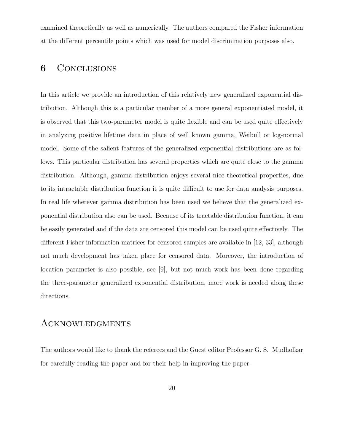examined theoretically as well as numerically. The authors compared the Fisher information at the different percentile points which was used for model discrimination purposes also.

## 6 Conclusions

In this article we provide an introduction of this relatively new generalized exponential distribution. Although this is a particular member of a more general exponentiated model, it is observed that this two-parameter model is quite flexible and can be used quite effectively in analyzing positive lifetime data in place of well known gamma, Weibull or log-normal model. Some of the salient features of the generalized exponential distributions are as follows. This particular distribution has several properties which are quite close to the gamma distribution. Although, gamma distribution enjoys several nice theoretical properties, due to its intractable distribution function it is quite difficult to use for data analysis purposes. In real life wherever gamma distribution has been used we believe that the generalized exponential distribution also can be used. Because of its tractable distribution function, it can be easily generated and if the data are censored this model can be used quite effectively. The different Fisher information matrices for censored samples are available in [12, 33], although not much development has taken place for censored data. Moreover, the introduction of location parameter is also possible, see [9], but not much work has been done regarding the three-parameter generalized exponential distribution, more work is needed along these directions.

## **ACKNOWLEDGMENTS**

The authors would like to thank the referees and the Guest editor Professor G. S. Mudholkar for carefully reading the paper and for their help in improving the paper.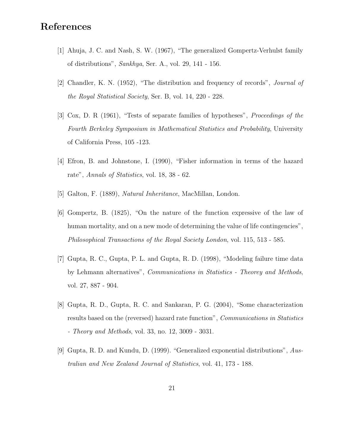## References

- [1] Ahuja, J. C. and Nash, S. W. (1967), "The generalized Gompertz-Verhulst family of distributions", Sankhya, Ser. A., vol. 29, 141 - 156.
- [2] Chandler, K. N. (1952), "The distribution and frequency of records", Journal of the Royal Statistical Society, Ser. B, vol. 14, 220 - 228.
- [3] Cox, D. R (1961), "Tests of separate families of hypotheses", Proceedings of the Fourth Berkeley Symposium in Mathematical Statistics and Probability, University of California Press, 105 -123.
- [4] Efron, B. and Johnstone, I. (1990), "Fisher information in terms of the hazard rate", Annals of Statistics, vol. 18, 38 - 62.
- [5] Galton, F. (1889), Natural Inheritance, MacMillan, London.
- [6] Gompertz, B. (1825), "On the nature of the function expressive of the law of human mortality, and on a new mode of determining the value of life contingencies", Philosophical Transactions of the Royal Society London, vol. 115, 513 - 585.
- [7] Gupta, R. C., Gupta, P. L. and Gupta, R. D. (1998), "Modeling failure time data by Lehmann alternatives", Communications in Statistics - Theorey and Methods, vol. 27, 887 - 904.
- [8] Gupta, R. D., Gupta, R. C. and Sankaran, P. G. (2004), "Some characterization results based on the (reversed) hazard rate function", *Communications in Statistics* - Theory and Methods, vol. 33, no. 12, 3009 - 3031.
- [9] Gupta, R. D. and Kundu, D. (1999). "Generalized exponential distributions", Australian and New Zealand Journal of Statistics, vol. 41, 173 - 188.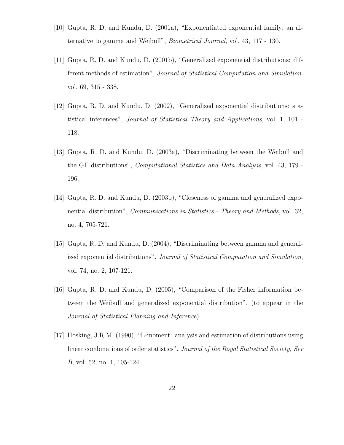- [10] Gupta, R. D. and Kundu, D. (2001a), "Exponentiated exponential family; an alternative to gamma and Weibull", Biometrical Journal, vol. 43, 117 - 130.
- [11] Gupta, R. D. and Kundu, D. (2001b), "Generalized exponential distributions: different methods of estimation", Journal of Statistical Computation and Simulation. vol. 69, 315 - 338.
- [12] Gupta, R. D. and Kundu, D. (2002), "Generalized exponential distributions: statistical inferences", Journal of Statistical Theory and Applications, vol. 1, 101 - 118.
- [13] Gupta, R. D. and Kundu, D. (2003a), "Discriminating between the Weibull and the GE distributions", Computational Statistics and Data Analysis, vol. 43, 179 - 196.
- [14] Gupta, R. D. and Kundu, D. (2003b), "Closeness of gamma and generalized exponential distribution", *Communications in Statistics - Theory and Methods*, vol. 32, no. 4, 705-721.
- [15] Gupta, R. D. and Kundu, D. (2004), "Discriminating between gamma and generalized exponential distributions", Journal of Statistical Computation and Simulation, vol. 74, no. 2, 107-121.
- [16] Gupta, R. D. and Kundu, D. (2005), "Comparison of the Fisher information between the Weibull and generalized exponential distribution", (to appear in the Journal of Statistical Planning and Inference)
- [17] Hosking, J.R.M. (1990), "L-moment: analysis and estimation of distributions using linear combinations of order statistics", Journal of the Royal Statistical Society, Ser B, vol. 52, no. 1, 105-124.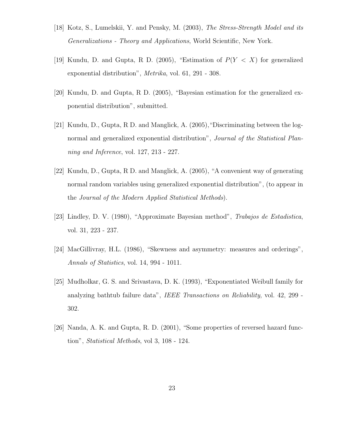- [18] Kotz, S., Lumelskii, Y. and Pensky, M. (2003), The Stress-Strength Model and its Generalizations - Theory and Applications, World Scientific, New York.
- [19] Kundu, D. and Gupta, R. D. (2005), "Estimation of  $P(Y < X)$  for generalized exponential distribution", Metrika, vol. 61, 291 - 308.
- [20] Kundu, D. and Gupta, R D. (2005), "Bayesian estimation for the generalized exponential distribution", submitted.
- [21] Kundu, D., Gupta, R D. and Manglick, A. (2005),"Discriminating between the lognormal and generalized exponential distribution", Journal of the Statistical Planning and Inference, vol. 127, 213 - 227.
- [22] Kundu, D., Gupta, R D. and Manglick, A. (2005), "A convenient way of generating normal random variables using generalized exponential distribution", (to appear in the Journal of the Modern Applied Statistical Methods).
- [23] Lindley, D. V. (1980), "Approximate Bayesian method", Trabajos de Estadistica, vol. 31, 223 - 237.
- [24] MacGillivray, H.L. (1986), "Skewness and asymmetry: measures and orderings", Annals of Statistics, vol. 14, 994 - 1011.
- [25] Mudholkar, G. S. and Srivastava, D. K. (1993), "Exponentiated Weibull family for analyzing bathtub failure data", IEEE Transactions on Reliability, vol. 42, 299 - 302.
- [26] Nanda, A. K. and Gupta, R. D. (2001), "Some properties of reversed hazard function", Statistical Methods, vol 3, 108 - 124.